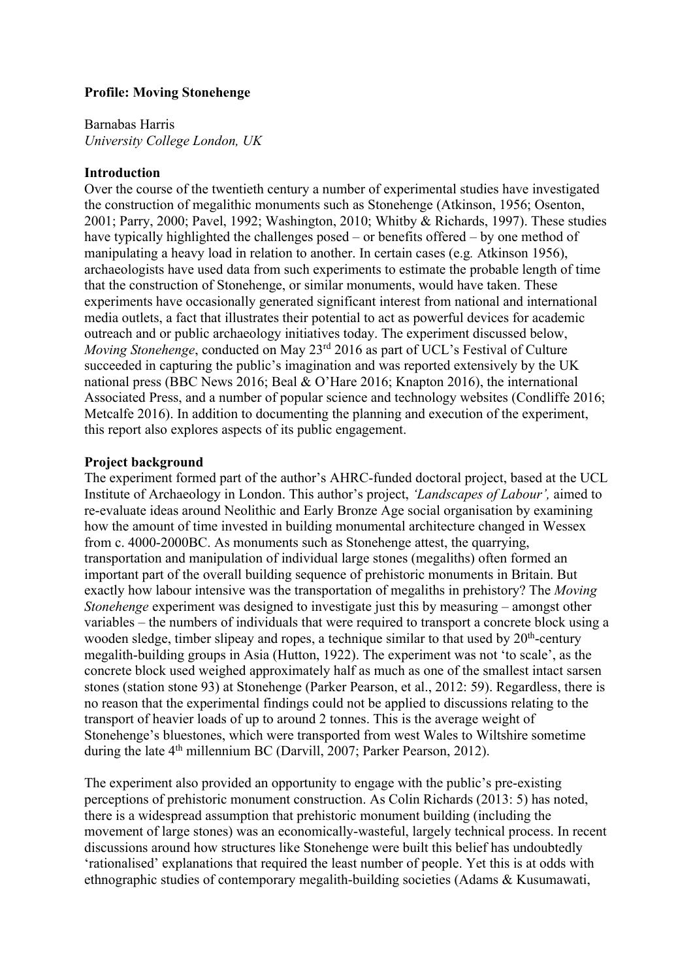# **Profile: Moving Stonehenge**

Barnabas Harris *University College London, UK*

## **Introduction**

Over the course of the twentieth century a number of experimental studies have investigated the construction of megalithic monuments such as Stonehenge (Atkinson, 1956; Osenton, 2001; Parry, 2000; Pavel, 1992; Washington, 2010; Whitby & Richards, 1997). These studies have typically highlighted the challenges posed – or benefits offered – by one method of manipulating a heavy load in relation to another. In certain cases (e.g*.* Atkinson 1956), archaeologists have used data from such experiments to estimate the probable length of time that the construction of Stonehenge, or similar monuments, would have taken. These experiments have occasionally generated significant interest from national and international media outlets, a fact that illustrates their potential to act as powerful devices for academic outreach and or public archaeology initiatives today. The experiment discussed below, *Moving Stonehenge*, conducted on May 23<sup>rd</sup> 2016 as part of UCL's Festival of Culture succeeded in capturing the public's imagination and was reported extensively by the UK national press (BBC News 2016; Beal & O'Hare 2016; Knapton 2016), the international Associated Press, and a number of popular science and technology websites (Condliffe 2016; Metcalfe 2016). In addition to documenting the planning and execution of the experiment, this report also explores aspects of its public engagement.

# **Project background**

The experiment formed part of the author's AHRC-funded doctoral project, based at the UCL Institute of Archaeology in London. This author's project, *'Landscapes of Labour',* aimed to re-evaluate ideas around Neolithic and Early Bronze Age social organisation by examining how the amount of time invested in building monumental architecture changed in Wessex from c. 4000-2000BC. As monuments such as Stonehenge attest, the quarrying, transportation and manipulation of individual large stones (megaliths) often formed an important part of the overall building sequence of prehistoric monuments in Britain. But exactly how labour intensive was the transportation of megaliths in prehistory? The *Moving Stonehenge* experiment was designed to investigate just this by measuring – amongst other variables – the numbers of individuals that were required to transport a concrete block using a wooden sledge, timber slipeay and ropes, a technique similar to that used by  $20<sup>th</sup>$ -century megalith-building groups in Asia (Hutton, 1922). The experiment was not 'to scale', as the concrete block used weighed approximately half as much as one of the smallest intact sarsen stones (station stone 93) at Stonehenge (Parker Pearson, et al., 2012: 59). Regardless, there is no reason that the experimental findings could not be applied to discussions relating to the transport of heavier loads of up to around 2 tonnes. This is the average weight of Stonehenge's bluestones, which were transported from west Wales to Wiltshire sometime during the late 4<sup>th</sup> millennium BC (Darvill, 2007; Parker Pearson, 2012).

The experiment also provided an opportunity to engage with the public's pre-existing perceptions of prehistoric monument construction. As Colin Richards (2013: 5) has noted, there is a widespread assumption that prehistoric monument building (including the movement of large stones) was an economically-wasteful, largely technical process. In recent discussions around how structures like Stonehenge were built this belief has undoubtedly 'rationalised' explanations that required the least number of people. Yet this is at odds with ethnographic studies of contemporary megalith-building societies (Adams & Kusumawati,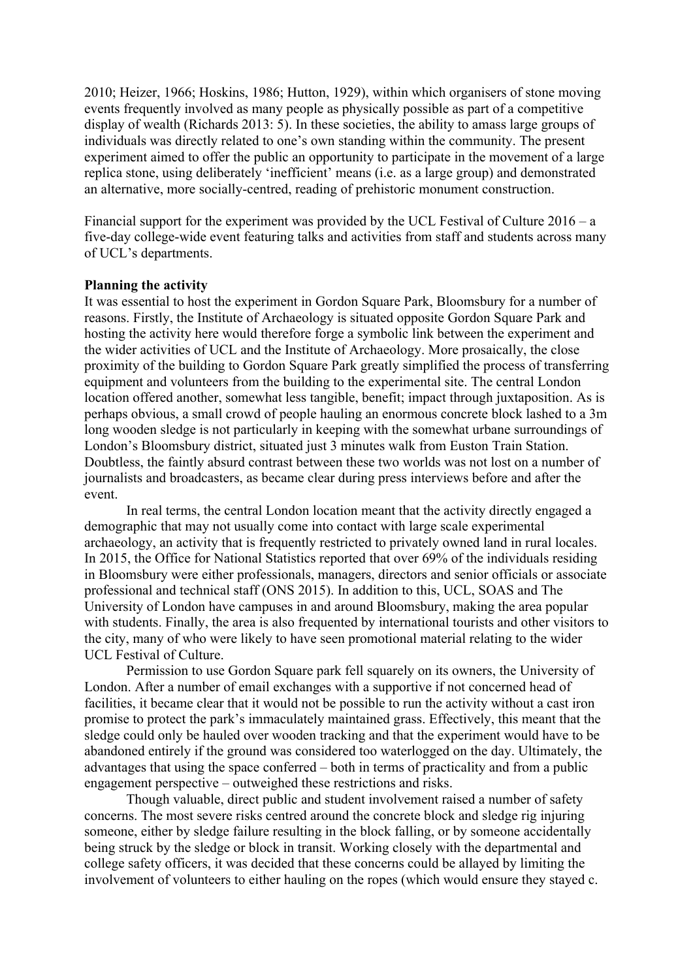2010; Heizer, 1966; Hoskins, 1986; Hutton, 1929), within which organisers of stone moving events frequently involved as many people as physically possible as part of a competitive display of wealth (Richards 2013: 5). In these societies, the ability to amass large groups of individuals was directly related to one's own standing within the community. The present experiment aimed to offer the public an opportunity to participate in the movement of a large replica stone, using deliberately 'inefficient' means (i.e. as a large group) and demonstrated an alternative, more socially-centred, reading of prehistoric monument construction.

Financial support for the experiment was provided by the UCL Festival of Culture 2016 – a five-day college-wide event featuring talks and activities from staff and students across many of UCL's departments.

#### **Planning the activity**

It was essential to host the experiment in Gordon Square Park, Bloomsbury for a number of reasons. Firstly, the Institute of Archaeology is situated opposite Gordon Square Park and hosting the activity here would therefore forge a symbolic link between the experiment and the wider activities of UCL and the Institute of Archaeology. More prosaically, the close proximity of the building to Gordon Square Park greatly simplified the process of transferring equipment and volunteers from the building to the experimental site. The central London location offered another, somewhat less tangible, benefit; impact through juxtaposition. As is perhaps obvious, a small crowd of people hauling an enormous concrete block lashed to a 3m long wooden sledge is not particularly in keeping with the somewhat urbane surroundings of London's Bloomsbury district, situated just 3 minutes walk from Euston Train Station. Doubtless, the faintly absurd contrast between these two worlds was not lost on a number of journalists and broadcasters, as became clear during press interviews before and after the event.

In real terms, the central London location meant that the activity directly engaged a demographic that may not usually come into contact with large scale experimental archaeology, an activity that is frequently restricted to privately owned land in rural locales. In 2015, the Office for National Statistics reported that over 69% of the individuals residing in Bloomsbury were either professionals, managers, directors and senior officials or associate professional and technical staff (ONS 2015). In addition to this, UCL, SOAS and The University of London have campuses in and around Bloomsbury, making the area popular with students. Finally, the area is also frequented by international tourists and other visitors to the city, many of who were likely to have seen promotional material relating to the wider UCL Festival of Culture.

Permission to use Gordon Square park fell squarely on its owners, the University of London. After a number of email exchanges with a supportive if not concerned head of facilities, it became clear that it would not be possible to run the activity without a cast iron promise to protect the park's immaculately maintained grass. Effectively, this meant that the sledge could only be hauled over wooden tracking and that the experiment would have to be abandoned entirely if the ground was considered too waterlogged on the day. Ultimately, the advantages that using the space conferred – both in terms of practicality and from a public engagement perspective – outweighed these restrictions and risks.

Though valuable, direct public and student involvement raised a number of safety concerns. The most severe risks centred around the concrete block and sledge rig injuring someone, either by sledge failure resulting in the block falling, or by someone accidentally being struck by the sledge or block in transit. Working closely with the departmental and college safety officers, it was decided that these concerns could be allayed by limiting the involvement of volunteers to either hauling on the ropes (which would ensure they stayed c.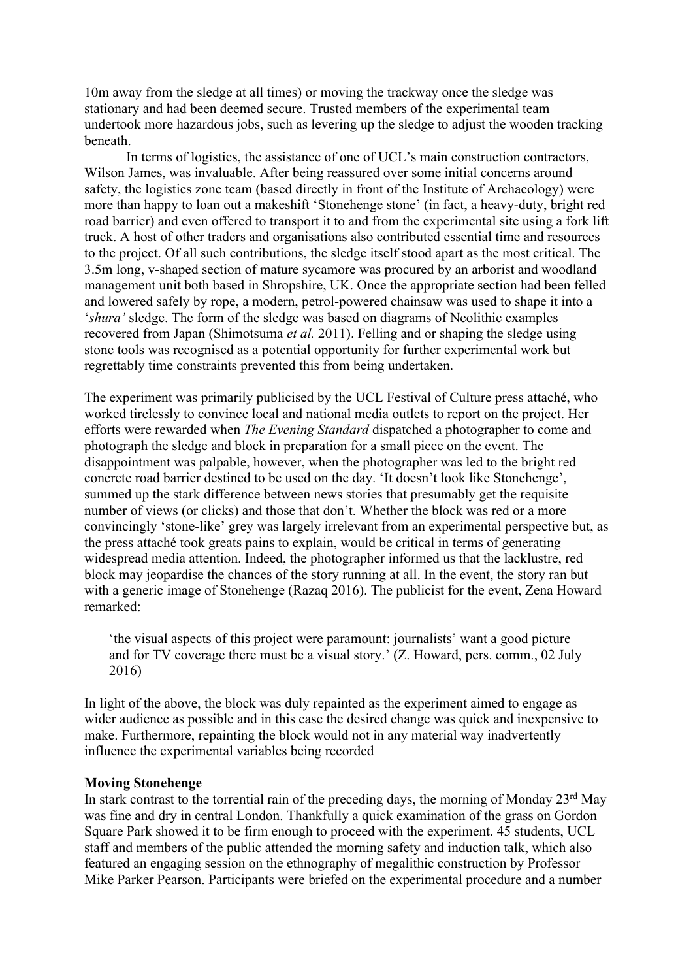10m away from the sledge at all times) or moving the trackway once the sledge was stationary and had been deemed secure. Trusted members of the experimental team undertook more hazardous jobs, such as levering up the sledge to adjust the wooden tracking beneath.

In terms of logistics, the assistance of one of UCL's main construction contractors, Wilson James, was invaluable. After being reassured over some initial concerns around safety, the logistics zone team (based directly in front of the Institute of Archaeology) were more than happy to loan out a makeshift 'Stonehenge stone' (in fact, a heavy-duty, bright red road barrier) and even offered to transport it to and from the experimental site using a fork lift truck. A host of other traders and organisations also contributed essential time and resources to the project. Of all such contributions, the sledge itself stood apart as the most critical. The 3.5m long, v-shaped section of mature sycamore was procured by an arborist and woodland management unit both based in Shropshire, UK. Once the appropriate section had been felled and lowered safely by rope, a modern, petrol-powered chainsaw was used to shape it into a '*shura'* sledge. The form of the sledge was based on diagrams of Neolithic examples recovered from Japan (Shimotsuma *et al.* 2011). Felling and or shaping the sledge using stone tools was recognised as a potential opportunity for further experimental work but regrettably time constraints prevented this from being undertaken.

The experiment was primarily publicised by the UCL Festival of Culture press attaché, who worked tirelessly to convince local and national media outlets to report on the project. Her efforts were rewarded when *The Evening Standard* dispatched a photographer to come and photograph the sledge and block in preparation for a small piece on the event. The disappointment was palpable, however, when the photographer was led to the bright red concrete road barrier destined to be used on the day. 'It doesn't look like Stonehenge', summed up the stark difference between news stories that presumably get the requisite number of views (or clicks) and those that don't. Whether the block was red or a more convincingly 'stone-like' grey was largely irrelevant from an experimental perspective but, as the press attaché took greats pains to explain, would be critical in terms of generating widespread media attention. Indeed, the photographer informed us that the lacklustre, red block may jeopardise the chances of the story running at all. In the event, the story ran but with a generic image of Stonehenge (Razaq 2016). The publicist for the event, Zena Howard remarked:

'the visual aspects of this project were paramount: journalists' want a good picture and for TV coverage there must be a visual story.' (Z. Howard, pers. comm., 02 July 2016)

In light of the above, the block was duly repainted as the experiment aimed to engage as wider audience as possible and in this case the desired change was quick and inexpensive to make. Furthermore, repainting the block would not in any material way inadvertently influence the experimental variables being recorded

#### **Moving Stonehenge**

In stark contrast to the torrential rain of the preceding days, the morning of Monday  $23<sup>rd</sup>$  May was fine and dry in central London. Thankfully a quick examination of the grass on Gordon Square Park showed it to be firm enough to proceed with the experiment. 45 students, UCL staff and members of the public attended the morning safety and induction talk, which also featured an engaging session on the ethnography of megalithic construction by Professor Mike Parker Pearson. Participants were briefed on the experimental procedure and a number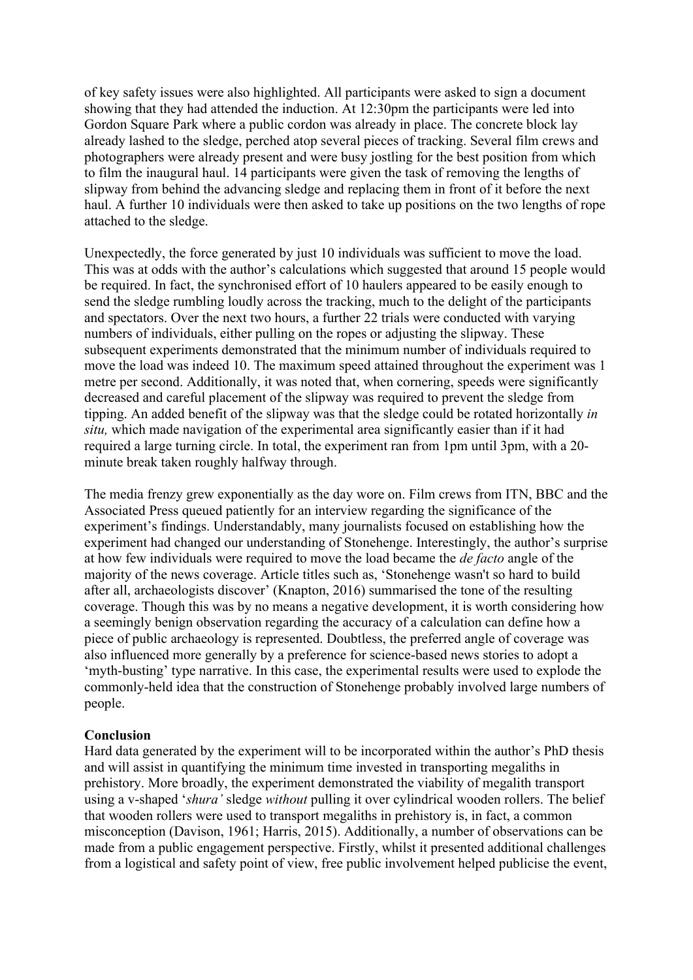of key safety issues were also highlighted. All participants were asked to sign a document showing that they had attended the induction. At 12:30pm the participants were led into Gordon Square Park where a public cordon was already in place. The concrete block lay already lashed to the sledge, perched atop several pieces of tracking. Several film crews and photographers were already present and were busy jostling for the best position from which to film the inaugural haul. 14 participants were given the task of removing the lengths of slipway from behind the advancing sledge and replacing them in front of it before the next haul. A further 10 individuals were then asked to take up positions on the two lengths of rope attached to the sledge.

Unexpectedly, the force generated by just 10 individuals was sufficient to move the load. This was at odds with the author's calculations which suggested that around 15 people would be required. In fact, the synchronised effort of 10 haulers appeared to be easily enough to send the sledge rumbling loudly across the tracking, much to the delight of the participants and spectators. Over the next two hours, a further 22 trials were conducted with varying numbers of individuals, either pulling on the ropes or adjusting the slipway. These subsequent experiments demonstrated that the minimum number of individuals required to move the load was indeed 10. The maximum speed attained throughout the experiment was 1 metre per second. Additionally, it was noted that, when cornering, speeds were significantly decreased and careful placement of the slipway was required to prevent the sledge from tipping. An added benefit of the slipway was that the sledge could be rotated horizontally *in situ,* which made navigation of the experimental area significantly easier than if it had required a large turning circle. In total, the experiment ran from 1pm until 3pm, with a 20 minute break taken roughly halfway through.

The media frenzy grew exponentially as the day wore on. Film crews from ITN, BBC and the Associated Press queued patiently for an interview regarding the significance of the experiment's findings. Understandably, many journalists focused on establishing how the experiment had changed our understanding of Stonehenge. Interestingly, the author's surprise at how few individuals were required to move the load became the *de facto* angle of the majority of the news coverage. Article titles such as, 'Stonehenge wasn't so hard to build after all, archaeologists discover' (Knapton, 2016) summarised the tone of the resulting coverage. Though this was by no means a negative development, it is worth considering how a seemingly benign observation regarding the accuracy of a calculation can define how a piece of public archaeology is represented. Doubtless, the preferred angle of coverage was also influenced more generally by a preference for science-based news stories to adopt a 'myth-busting' type narrative. In this case, the experimental results were used to explode the commonly-held idea that the construction of Stonehenge probably involved large numbers of people.

## **Conclusion**

Hard data generated by the experiment will to be incorporated within the author's PhD thesis and will assist in quantifying the minimum time invested in transporting megaliths in prehistory. More broadly, the experiment demonstrated the viability of megalith transport using a v-shaped '*shura'* sledge *without* pulling it over cylindrical wooden rollers. The belief that wooden rollers were used to transport megaliths in prehistory is, in fact, a common misconception (Davison, 1961; Harris, 2015). Additionally, a number of observations can be made from a public engagement perspective. Firstly, whilst it presented additional challenges from a logistical and safety point of view, free public involvement helped publicise the event,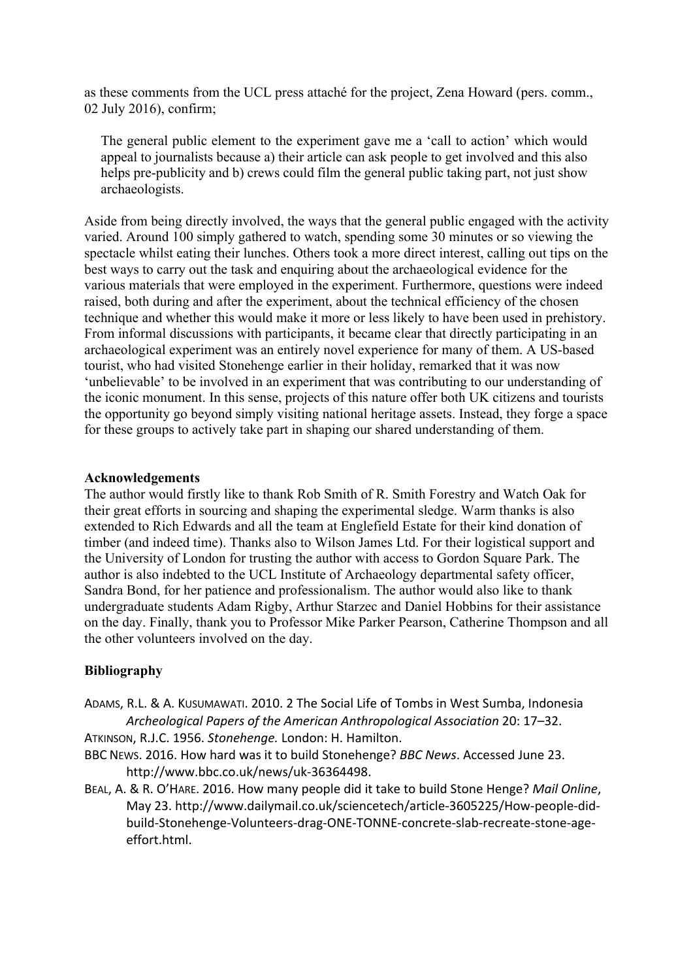as these comments from the UCL press attaché for the project, Zena Howard (pers. comm., 02 July 2016), confirm;

The general public element to the experiment gave me a 'call to action' which would appeal to journalists because a) their article can ask people to get involved and this also helps pre-publicity and b) crews could film the general public taking part, not just show archaeologists.

Aside from being directly involved, the ways that the general public engaged with the activity varied. Around 100 simply gathered to watch, spending some 30 minutes or so viewing the spectacle whilst eating their lunches. Others took a more direct interest, calling out tips on the best ways to carry out the task and enquiring about the archaeological evidence for the various materials that were employed in the experiment. Furthermore, questions were indeed raised, both during and after the experiment, about the technical efficiency of the chosen technique and whether this would make it more or less likely to have been used in prehistory. From informal discussions with participants, it became clear that directly participating in an archaeological experiment was an entirely novel experience for many of them. A US-based tourist, who had visited Stonehenge earlier in their holiday, remarked that it was now 'unbelievable' to be involved in an experiment that was contributing to our understanding of the iconic monument. In this sense, projects of this nature offer both UK citizens and tourists the opportunity go beyond simply visiting national heritage assets. Instead, they forge a space for these groups to actively take part in shaping our shared understanding of them.

### **Acknowledgements**

The author would firstly like to thank Rob Smith of R. Smith Forestry and Watch Oak for their great efforts in sourcing and shaping the experimental sledge. Warm thanks is also extended to Rich Edwards and all the team at Englefield Estate for their kind donation of timber (and indeed time). Thanks also to Wilson James Ltd. For their logistical support and the University of London for trusting the author with access to Gordon Square Park. The author is also indebted to the UCL Institute of Archaeology departmental safety officer, Sandra Bond, for her patience and professionalism. The author would also like to thank undergraduate students Adam Rigby, Arthur Starzec and Daniel Hobbins for their assistance on the day. Finally, thank you to Professor Mike Parker Pearson, Catherine Thompson and all the other volunteers involved on the day.

### **Bibliography**

ADAMS, R.L. & A. KUSUMAWATI. 2010. 2 The Social Life of Tombs in West Sumba, Indonesia *Archeological Papers of the American Anthropological Association* 20: 17–32.

ATKINSON, R.J.C. 1956. *Stonehenge.* London: H. Hamilton.

- BBC NEWS. 2016. How hard was it to build Stonehenge? *BBC News*. Accessed June 23. http://www.bbc.co.uk/news/uk-36364498.
- BEAL, A. & R. O'HARE. 2016. How many people did it take to build Stone Henge? *Mail Online*, May 23. http://www.dailymail.co.uk/sciencetech/article-3605225/How-people-didbuild-Stonehenge-Volunteers-drag-ONE-TONNE-concrete-slab-recreate-stone-ageeffort.html.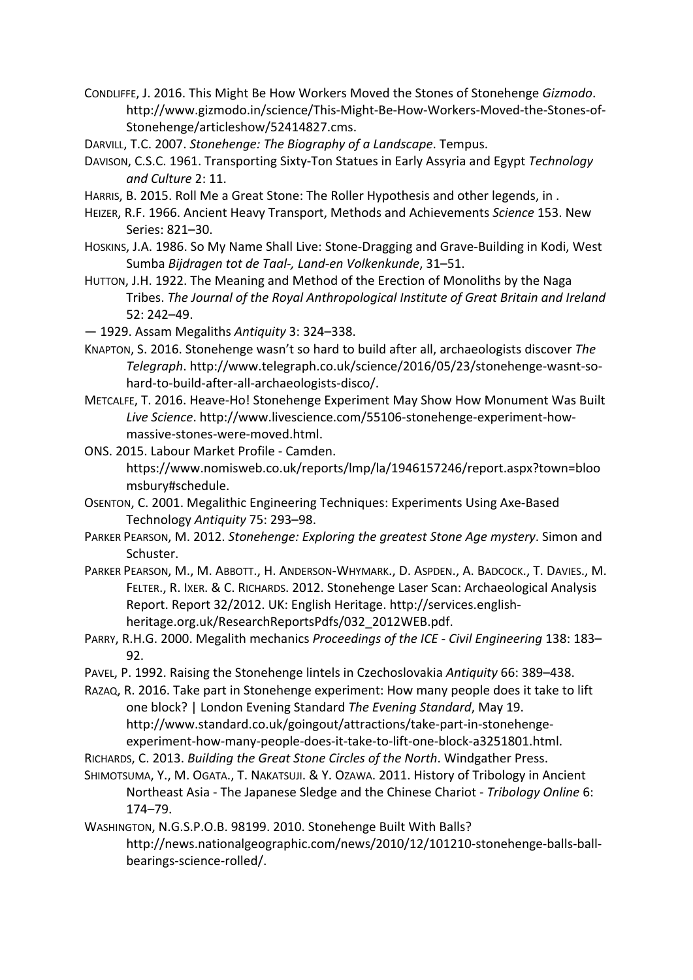CONDLIFFE, J. 2016. This Might Be How Workers Moved the Stones of Stonehenge *Gizmodo*. http://www.gizmodo.in/science/This-Might-Be-How-Workers-Moved-the-Stones-of-Stonehenge/articleshow/52414827.cms.

DARVILL, T.C. 2007. *Stonehenge: The Biography of a Landscape*. Tempus.

- DAVISON, C.S.C. 1961. Transporting Sixty-Ton Statues in Early Assyria and Egypt *Technology and Culture* 2: 11.
- HARRIS, B. 2015. Roll Me a Great Stone: The Roller Hypothesis and other legends, in .
- HEIZER, R.F. 1966. Ancient Heavy Transport, Methods and Achievements *Science* 153. New Series: 821–30.
- HOSKINS, J.A. 1986. So My Name Shall Live: Stone-Dragging and Grave-Building in Kodi, West Sumba *Bijdragen tot de Taal-, Land-en Volkenkunde*, 31–51.
- HUTTON, J.H. 1922. The Meaning and Method of the Erection of Monoliths by the Naga Tribes. *The Journal of the Royal Anthropological Institute of Great Britain and Ireland* 52: 242–49.
- 1929. Assam Megaliths *Antiquity* 3: 324–338.
- KNAPTON, S. 2016. Stonehenge wasn't so hard to build after all, archaeologists discover *The Telegraph*. http://www.telegraph.co.uk/science/2016/05/23/stonehenge-wasnt-sohard-to-build-after-all-archaeologists-disco/.
- METCALFE, T. 2016. Heave-Ho! Stonehenge Experiment May Show How Monument Was Built *Live Science*. http://www.livescience.com/55106-stonehenge-experiment-howmassive-stones-were-moved.html.
- ONS. 2015. Labour Market Profile Camden. https://www.nomisweb.co.uk/reports/lmp/la/1946157246/report.aspx?town=bloo msbury#schedule.
- OSENTON, C. 2001. Megalithic Engineering Techniques: Experiments Using Axe-Based Technology *Antiquity* 75: 293–98.
- PARKER PEARSON, M. 2012. *Stonehenge: Exploring the greatest Stone Age mystery*. Simon and Schuster.
- PARKER PEARSON, M., M. ABBOTT., H. ANDERSON-WHYMARK., D. ASPDEN., A. BADCOCK., T. DAVIES., M. FELTER., R. IXER. & C. RICHARDS. 2012. Stonehenge Laser Scan: Archaeological Analysis Report. Report 32/2012. UK: English Heritage. http://services.englishheritage.org.uk/ResearchReportsPdfs/032\_2012WEB.pdf.
- PARRY, R.H.G. 2000. Megalith mechanics *Proceedings of the ICE - Civil Engineering* 138: 183– 92.
- PAVEL, P. 1992. Raising the Stonehenge lintels in Czechoslovakia *Antiquity* 66: 389–438.
- RAZAQ, R. 2016. Take part in Stonehenge experiment: How many people does it take to lift one block? | London Evening Standard *The Evening Standard*, May 19. http://www.standard.co.uk/goingout/attractions/take-part-in-stonehengeexperiment-how-many-people-does-it-take-to-lift-one-block-a3251801.html.
- RICHARDS, C. 2013. *Building the Great Stone Circles of the North*. Windgather Press.
- SHIMOTSUMA, Y., M. OGATA., T. NAKATSUJI. & Y. OZAWA. 2011. History of Tribology in Ancient Northeast Asia - The Japanese Sledge and the Chinese Chariot - *Tribology Online* 6: 174–79.
- WASHINGTON, N.G.S.P.O.B. 98199. 2010. Stonehenge Built With Balls? http://news.nationalgeographic.com/news/2010/12/101210-stonehenge-balls-ballbearings-science-rolled/.